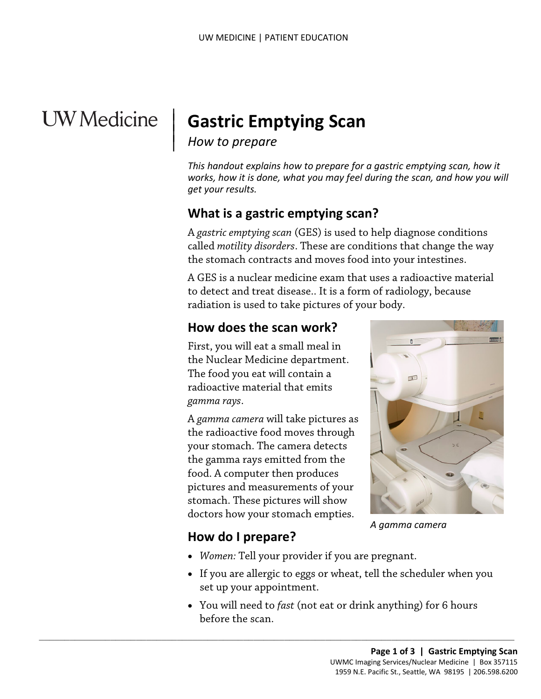# **UW** Medicine

# | **Gastric Emptying Scan**

# *How to prepare* |

|

 $\vert$ 

*This handout explains how to prepare for a gastric emptying scan, how it works, how it is done, what you may feel during the scan, and how you will get your results.* 

## **What is a gastric emptying scan?**

A *gastric emptying scan* (GES) is used to help diagnose conditions called *motility disorders*. These are conditions that change the way the stomach contracts and moves food into your intestines.

 A GES is a nuclear medicine exam that uses a radioactive material to detect and treat disease.. It is a form of radiology, because radiation is used to take pictures of your body.

## **How does the scan work?**

First, you will eat a small meal in the Nuclear Medicine department. The food you eat will contain a radioactive material that emits *gamma rays*.

A *gamma camera* will take pictures as the radioactive food moves through your stomach. The camera detects the gamma rays emitted from the food. A computer then produces pictures and measurements of your stomach. These pictures will show doctors how your stomach empties.

 $\_$  ,  $\_$  ,  $\_$  ,  $\_$  ,  $\_$  ,  $\_$  ,  $\_$  ,  $\_$  ,  $\_$  ,  $\_$  ,  $\_$  ,  $\_$  ,  $\_$  ,  $\_$  ,  $\_$  ,  $\_$  ,  $\_$  ,  $\_$  ,  $\_$  ,  $\_$  ,  $\_$  ,  $\_$  ,  $\_$  ,  $\_$  ,  $\_$  ,  $\_$  ,  $\_$  ,  $\_$  ,  $\_$  ,  $\_$  ,  $\_$  ,  $\_$  ,  $\_$  ,  $\_$  ,  $\_$  ,  $\_$  ,  $\_$  ,



*A gamma camera* 

## **How do I prepare?**

- *Women:* Tell your provider if you are pregnant.
- • If you are allergic to eggs or wheat, tell the scheduler when you set up your appointment.
- You will need to *fast* (not eat or drink anything) for 6 hours before the scan.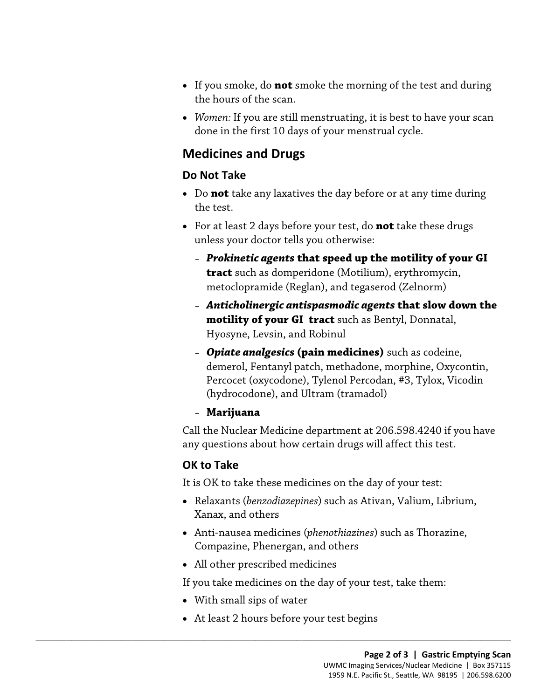- • If you smoke, do **not** smoke the morning of the test and during the hours of the scan.
- • *Women:* If you are still menstruating, it is best to have your scan done in the first 10 days of your menstrual cycle.

### **Medicines and Drugs**

#### **Do Not Take**

- Do **not** take any laxatives the day before or at any time during the test.
- For at least 2 days before your test, do **not** take these drugs unless your doctor tells you otherwise:
	- *Prokinetic agents* **that speed up the motility of your GI tract** such as domperidone (Motilium), erythromycin, metoclopramide (Reglan), and tegaserod (Zelnorm)
	- *Anticholinergic antispasmodic agents* **that slow down the motility of your GI tract** such as Bentyl, Donnatal, Hyosyne, Levsin, and Robinul
	- – *Opiate analgesics* **(pain medicines)** such as codeine, (hydrocodone), and Ultram (tramadol) demerol, Fentanyl patch, methadone, morphine, Oxycontin, Percocet (oxycodone), Tylenol Percodan, #3, Tylox, Vicodin
	- **Marijuana**

 any questions about how certain drugs will affect this test. Call the Nuclear Medicine department at 206.598.4240 if you have

### **OK to Take**

It is OK to take these medicines on the day of your test:

- Relaxants (*benzodiazepines*) such as Ativan, Valium, Librium, Xanax, and others
- Anti-nausea medicines (*phenothiazines*) such as Thorazine, Compazine, Phenergan, and others
- All other prescribed medicines

If you take medicines on the day of your test, take them:

- With small sips of water
- At least 2 hours before your test begins

 $\_$  ,  $\_$  ,  $\_$  ,  $\_$  ,  $\_$  ,  $\_$  ,  $\_$  ,  $\_$  ,  $\_$  ,  $\_$  ,  $\_$  ,  $\_$  ,  $\_$  ,  $\_$  ,  $\_$  ,  $\_$  ,  $\_$  ,  $\_$  ,  $\_$  ,  $\_$  ,  $\_$  ,  $\_$  ,  $\_$  ,  $\_$  ,  $\_$  ,  $\_$  ,  $\_$  ,  $\_$  ,  $\_$  ,  $\_$  ,  $\_$  ,  $\_$  ,  $\_$  ,  $\_$  ,  $\_$  ,  $\_$  ,  $\_$  ,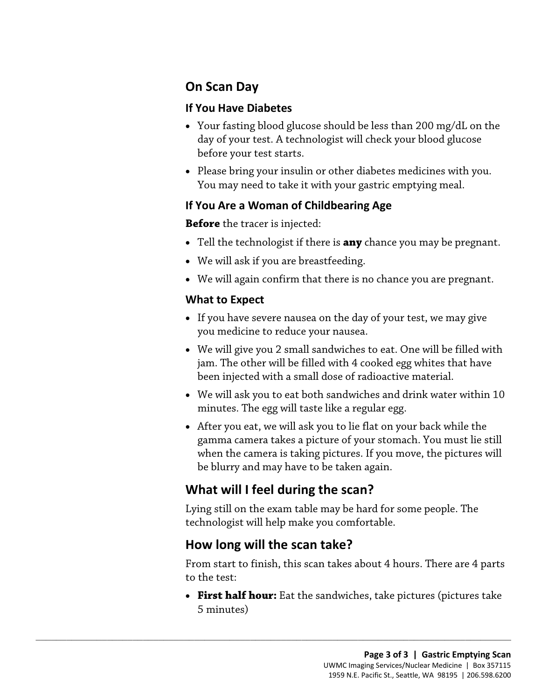## **On Scan Day**

#### **If You Have Diabetes**

- Your fasting blood glucose should be less than 200 mg/dL on the day of your test. A technologist will check your blood glucose before your test starts.
- Please bring your insulin or other diabetes medicines with you. You may need to take it with your gastric emptying meal.

#### **If You Are a Woman of Childbearing Age**

**Before** the tracer is injected:

- Tell the technologist if there is **any** chance you may be pregnant.
- We will ask if you are breastfeeding.
- We will again confirm that there is no chance you are pregnant.

#### **What to Expect**

- If you have severe nausea on the day of your test, we may give you medicine to reduce your nausea.
- We will give you 2 small sandwiches to eat. One will be filled with jam. The other will be filled with 4 cooked egg whites that have been injected with a small dose of radioactive material.
- • We will ask you to eat both sandwiches and drink water within 10 minutes. The egg will taste like a regular egg.
- After you eat, we will ask you to lie flat on your back while the gamma camera takes a picture of your stomach. You must lie still when the camera is taking pictures. If you move, the pictures will be blurry and may have to be taken again.

# **What will I feel during the scan?**

Lying still on the exam table may be hard for some people. The technologist will help make you comfortable.

## **How long will the scan take?**

 $\_$  ,  $\_$  ,  $\_$  ,  $\_$  ,  $\_$  ,  $\_$  ,  $\_$  ,  $\_$  ,  $\_$  ,  $\_$  ,  $\_$  ,  $\_$  ,  $\_$  ,  $\_$  ,  $\_$  ,  $\_$  ,  $\_$  ,  $\_$  ,  $\_$  ,  $\_$  ,  $\_$  ,  $\_$  ,  $\_$  ,  $\_$  ,  $\_$  ,  $\_$  ,  $\_$  ,  $\_$  ,  $\_$  ,  $\_$  ,  $\_$  ,  $\_$  ,  $\_$  ,  $\_$  ,  $\_$  ,  $\_$  ,  $\_$  ,

From start to finish, this scan takes about 4 hours. There are 4 parts to the test:

• **First half hour:** Eat the sandwiches, take pictures (pictures take 5 minutes)